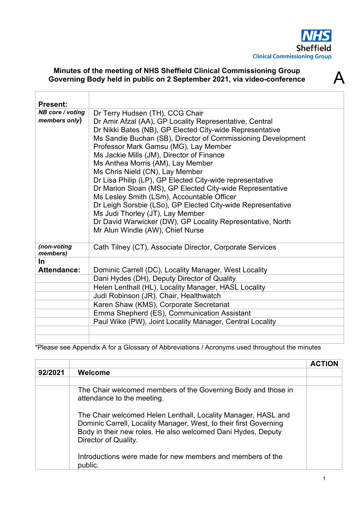

 $\boldsymbol{\varDelta}$ 

## **Minutes of the meeting of NHS Sheffield Clinical Commissioning Group Governing Body held in public on 2 September 2021, via video-conference**

| <b>Present:</b>         |                                                              |
|-------------------------|--------------------------------------------------------------|
| NB core / voting        | Dr Terry Hudsen (TH), CCG Chair                              |
| members only)           | Dr Amir Afzal (AA), GP Locality Representative, Central      |
|                         | Dr Nikki Bates (NB), GP Elected City-wide Representative     |
|                         | Ms Sandie Buchan (SB), Director of Commissioning Development |
|                         | Professor Mark Gamsu (MG), Lay Member                        |
|                         | Ms Jackie Mills (JM), Director of Finance                    |
|                         |                                                              |
|                         | Ms Anthea Morris (AM), Lay Member                            |
|                         | Ms Chris Nield (CN), Lay Member                              |
|                         | Dr Lisa Philip (LP), GP Elected City-wide representative     |
|                         | Dr Marion Sloan (MS), GP Elected City-wide Representative    |
|                         | Ms Lesley Smith (LSm), Accountable Officer                   |
|                         | Dr Leigh Sorsbie (LSo), GP Elected City-wide Representative  |
|                         | Ms Judi Thorley (JT), Lay Member                             |
|                         | Dr David Warwicker (DW), GP Locality Representative, North   |
|                         | Mr Alun Windle (AW), Chief Nurse                             |
|                         |                                                              |
| (non-voting<br>members) | Cath Tilney (CT), Associate Director, Corporate Services     |
| <u>In</u>               |                                                              |
| <b>Attendance:</b>      |                                                              |
|                         | Dominic Carrell (DC), Locality Manager, West Locality        |
|                         | Dani Hydes (DH), Deputy Director of Quality                  |
|                         | Helen Lenthall (HL), Locality Manager, HASL Locality         |
|                         | Judi Robinson (JR), Chair, Healthwatch                       |
|                         | Karen Shaw (KMS), Corporate Secretariat                      |
|                         | Emma Shepherd (ES), Communication Assistant                  |
|                         | Paul Wike (PW), Joint Locality Manager, Central Locality     |
|                         |                                                              |
|                         |                                                              |

\*Please see Appendix A for a Glossary of Abbreviations / Acronyms used throughout the minutes

|         |                                                                                                                                                                                                                            | <b>ACTION</b> |
|---------|----------------------------------------------------------------------------------------------------------------------------------------------------------------------------------------------------------------------------|---------------|
| 92/2021 | Welcome                                                                                                                                                                                                                    |               |
|         |                                                                                                                                                                                                                            |               |
|         | The Chair welcomed members of the Governing Body and those in<br>attendance to the meeting.                                                                                                                                |               |
|         | The Chair welcomed Helen Lenthall, Locality Manager, HASL and<br>Dominic Carrell, Locality Manager, West, to their first Governing<br>Body in their new roles. He also welcomed Dani Hydes, Deputy<br>Director of Quality. |               |
|         | Introductions were made for new members and members of the<br>public.                                                                                                                                                      |               |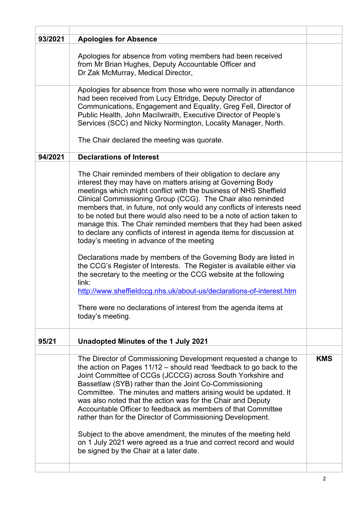| 93/2021 | <b>Apologies for Absence</b>                                                                                                                                                                                                                                                                                                                                                                                                                                                                                                                                                                                                                                                                                                                                                                                                                                                                                                                                                                            |            |
|---------|---------------------------------------------------------------------------------------------------------------------------------------------------------------------------------------------------------------------------------------------------------------------------------------------------------------------------------------------------------------------------------------------------------------------------------------------------------------------------------------------------------------------------------------------------------------------------------------------------------------------------------------------------------------------------------------------------------------------------------------------------------------------------------------------------------------------------------------------------------------------------------------------------------------------------------------------------------------------------------------------------------|------------|
|         | Apologies for absence from voting members had been received<br>from Mr Brian Hughes, Deputy Accountable Officer and<br>Dr Zak McMurray, Medical Director,                                                                                                                                                                                                                                                                                                                                                                                                                                                                                                                                                                                                                                                                                                                                                                                                                                               |            |
|         | Apologies for absence from those who were normally in attendance<br>had been received from Lucy Ettridge, Deputy Director of<br>Communications, Engagement and Equality, Greg Fell, Director of<br>Public Health, John Macilwraith, Executive Director of People's<br>Services (SCC) and Nicky Normington, Locality Manager, North.<br>The Chair declared the meeting was quorate.                                                                                                                                                                                                                                                                                                                                                                                                                                                                                                                                                                                                                      |            |
| 94/2021 | <b>Declarations of Interest</b>                                                                                                                                                                                                                                                                                                                                                                                                                                                                                                                                                                                                                                                                                                                                                                                                                                                                                                                                                                         |            |
|         | The Chair reminded members of their obligation to declare any<br>interest they may have on matters arising at Governing Body<br>meetings which might conflict with the business of NHS Sheffield<br>Clinical Commissioning Group (CCG). The Chair also reminded<br>members that, in future, not only would any conflicts of interests need<br>to be noted but there would also need to be a note of action taken to<br>manage this. The Chair reminded members that they had been asked<br>to declare any conflicts of interest in agenda items for discussion at<br>today's meeting in advance of the meeting<br>Declarations made by members of the Governing Body are listed in<br>the CCG's Register of Interests. The Register is available either via<br>the secretary to the meeting or the CCG website at the following<br>link:<br>http://www.sheffieldccg.nhs.uk/about-us/declarations-of-interest.htm<br>There were no declarations of interest from the agenda items at<br>today's meeting. |            |
| 95/21   | Unadopted Minutes of the 1 July 2021                                                                                                                                                                                                                                                                                                                                                                                                                                                                                                                                                                                                                                                                                                                                                                                                                                                                                                                                                                    |            |
|         |                                                                                                                                                                                                                                                                                                                                                                                                                                                                                                                                                                                                                                                                                                                                                                                                                                                                                                                                                                                                         |            |
|         | The Director of Commissioning Development requested a change to<br>the action on Pages 11/12 - should read 'feedback to go back to the<br>Joint Committee of CCGs (JCCCG) across South Yorkshire and<br>Bassetlaw (SYB) rather than the Joint Co-Commissioning<br>Committee. The minutes and matters arising would be updated. It<br>was also noted that the action was for the Chair and Deputy<br>Accountable Officer to feedback as members of that Committee<br>rather than for the Director of Commissioning Development.<br>Subject to the above amendment, the minutes of the meeting held<br>on 1 July 2021 were agreed as a true and correct record and would<br>be signed by the Chair at a later date.                                                                                                                                                                                                                                                                                       | <b>KMS</b> |
|         |                                                                                                                                                                                                                                                                                                                                                                                                                                                                                                                                                                                                                                                                                                                                                                                                                                                                                                                                                                                                         |            |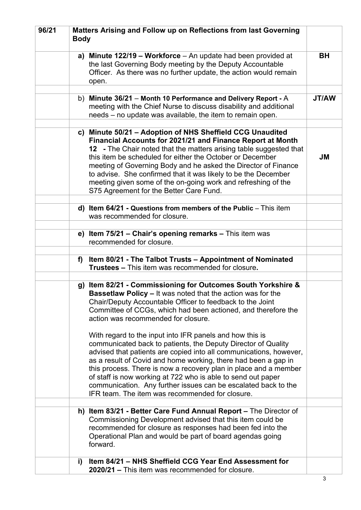| 96/21 | <b>Body</b> | Matters Arising and Follow up on Reflections from last Governing                                                                                                                                                                                                                                                                                                                                                                                                                                                                                                                                                                                                                                                                                                                                                                                                                                          |              |
|-------|-------------|-----------------------------------------------------------------------------------------------------------------------------------------------------------------------------------------------------------------------------------------------------------------------------------------------------------------------------------------------------------------------------------------------------------------------------------------------------------------------------------------------------------------------------------------------------------------------------------------------------------------------------------------------------------------------------------------------------------------------------------------------------------------------------------------------------------------------------------------------------------------------------------------------------------|--------------|
|       |             | a) Minute 122/19 - Workforce - An update had been provided at<br>the last Governing Body meeting by the Deputy Accountable<br>Officer. As there was no further update, the action would remain<br>open.                                                                                                                                                                                                                                                                                                                                                                                                                                                                                                                                                                                                                                                                                                   | <b>BH</b>    |
|       |             | b) Minute 36/21 - Month 10 Performance and Delivery Report - A                                                                                                                                                                                                                                                                                                                                                                                                                                                                                                                                                                                                                                                                                                                                                                                                                                            | <b>JT/AW</b> |
|       |             | meeting with the Chief Nurse to discuss disability and additional<br>needs – no update was available, the item to remain open.                                                                                                                                                                                                                                                                                                                                                                                                                                                                                                                                                                                                                                                                                                                                                                            |              |
|       |             | c) Minute 50/21 - Adoption of NHS Sheffield CCG Unaudited                                                                                                                                                                                                                                                                                                                                                                                                                                                                                                                                                                                                                                                                                                                                                                                                                                                 |              |
|       |             | Financial Accounts for 2021/21 and Finance Report at Month<br>12 - The Chair noted that the matters arising table suggested that<br>this item be scheduled for either the October or December<br>meeting of Governing Body and he asked the Director of Finance<br>to advise. She confirmed that it was likely to be the December<br>meeting given some of the on-going work and refreshing of the<br>S75 Agreement for the Better Care Fund.                                                                                                                                                                                                                                                                                                                                                                                                                                                             | <b>JM</b>    |
|       |             |                                                                                                                                                                                                                                                                                                                                                                                                                                                                                                                                                                                                                                                                                                                                                                                                                                                                                                           |              |
|       |             | d) Item $64/21$ - Questions from members of the Public $-$ This item<br>was recommended for closure.                                                                                                                                                                                                                                                                                                                                                                                                                                                                                                                                                                                                                                                                                                                                                                                                      |              |
|       |             | e) Item 75/21 - Chair's opening remarks - This item was<br>recommended for closure.                                                                                                                                                                                                                                                                                                                                                                                                                                                                                                                                                                                                                                                                                                                                                                                                                       |              |
|       |             |                                                                                                                                                                                                                                                                                                                                                                                                                                                                                                                                                                                                                                                                                                                                                                                                                                                                                                           |              |
|       | f)          | Item 80/21 - The Talbot Trusts - Appointment of Nominated<br><b>Trustees – This item was recommended for closure.</b>                                                                                                                                                                                                                                                                                                                                                                                                                                                                                                                                                                                                                                                                                                                                                                                     |              |
|       |             | g) Item 82/21 - Commissioning for Outcomes South Yorkshire &<br><b>Bassetlaw Policy – It was noted that the action was for the</b><br>Chair/Deputy Accountable Officer to feedback to the Joint<br>Committee of CCGs, which had been actioned, and therefore the<br>action was recommended for closure.<br>With regard to the input into IFR panels and how this is<br>communicated back to patients, the Deputy Director of Quality<br>advised that patients are copied into all communications, however,<br>as a result of Covid and home working, there had been a gap in<br>this process. There is now a recovery plan in place and a member<br>of staff is now working at 722 who is able to send out paper<br>communication. Any further issues can be escalated back to the<br>IFR team. The item was recommended for closure.<br>h) Item 83/21 - Better Care Fund Annual Report – The Director of |              |
|       |             | Commissioning Development advised that this item could be                                                                                                                                                                                                                                                                                                                                                                                                                                                                                                                                                                                                                                                                                                                                                                                                                                                 |              |
|       |             | recommended for closure as responses had been fed into the<br>Operational Plan and would be part of board agendas going<br>forward.                                                                                                                                                                                                                                                                                                                                                                                                                                                                                                                                                                                                                                                                                                                                                                       |              |
|       | i)          | Item 84/21 - NHS Sheffield CCG Year End Assessment for<br>2020/21 – This item was recommended for closure.                                                                                                                                                                                                                                                                                                                                                                                                                                                                                                                                                                                                                                                                                                                                                                                                |              |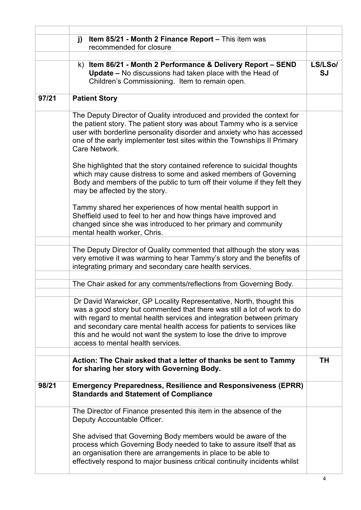|       | Item 85/21 - Month 2 Finance Report - This item was<br>j)<br>recommended for closure                                                                                                                                                                                                                                                                                                                        |               |
|-------|-------------------------------------------------------------------------------------------------------------------------------------------------------------------------------------------------------------------------------------------------------------------------------------------------------------------------------------------------------------------------------------------------------------|---------------|
|       |                                                                                                                                                                                                                                                                                                                                                                                                             |               |
|       | k) Item 86/21 - Month 2 Performance & Delivery Report - SEND<br>Update - No discussions had taken place with the Head of<br>Children's Commissioning. Item to remain open.                                                                                                                                                                                                                                  | LS/LSo/<br>SJ |
| 97/21 | <b>Patient Story</b>                                                                                                                                                                                                                                                                                                                                                                                        |               |
|       | The Deputy Director of Quality introduced and provided the context for<br>the patient story. The patient story was about Tammy who is a service<br>user with borderline personality disorder and anxiety who has accessed<br>one of the early implementer test sites within the Townships II Primary<br>Care Network.                                                                                       |               |
|       | She highlighted that the story contained reference to suicidal thoughts<br>which may cause distress to some and asked members of Governing<br>Body and members of the public to turn off their volume if they felt they<br>may be affected by the story.                                                                                                                                                    |               |
|       | Tammy shared her experiences of how mental health support in<br>Sheffield used to feel to her and how things have improved and<br>changed since she was introduced to her primary and community<br>mental health worker, Chris.                                                                                                                                                                             |               |
|       |                                                                                                                                                                                                                                                                                                                                                                                                             |               |
|       | The Deputy Director of Quality commented that although the story was<br>very emotive it was warming to hear Tammy's story and the benefits of<br>integrating primary and secondary care health services.                                                                                                                                                                                                    |               |
|       |                                                                                                                                                                                                                                                                                                                                                                                                             |               |
|       | The Chair asked for any comments/reflections from Governing Body.                                                                                                                                                                                                                                                                                                                                           |               |
|       |                                                                                                                                                                                                                                                                                                                                                                                                             |               |
|       | Dr David Warwicker, GP Locality Representative, North, thought this<br>was a good story but commented that there was still a lot of work to do<br>with regard to mental health services and integration between primary<br>and secondary care mental health access for patients to services like<br>this and he would not want the system to lose the drive to improve<br>access to mental health services. |               |
|       |                                                                                                                                                                                                                                                                                                                                                                                                             |               |
|       | Action: The Chair asked that a letter of thanks be sent to Tammy<br>for sharing her story with Governing Body.                                                                                                                                                                                                                                                                                              | <b>TH</b>     |
| 98/21 | <b>Emergency Preparedness, Resilience and Responsiveness (EPRR)</b><br><b>Standards and Statement of Compliance</b>                                                                                                                                                                                                                                                                                         |               |
|       | The Director of Finance presented this item in the absence of the<br>Deputy Accountable Officer.                                                                                                                                                                                                                                                                                                            |               |
|       | She advised that Governing Body members would be aware of the<br>process which Governing Body needed to take to assure itself that as<br>an organisation there are arrangements in place to be able to<br>effectively respond to major business critical continuity incidents whilst                                                                                                                        |               |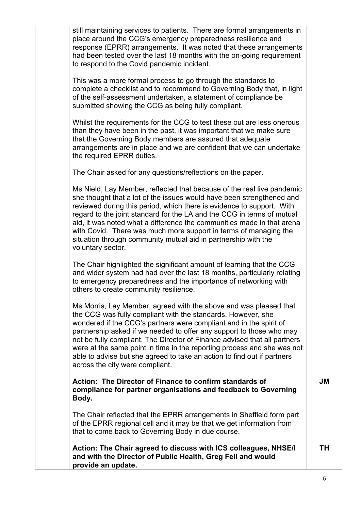still maintaining services to patients. There are formal arrangements in place around the CCG's emergency preparedness resilience and response (EPRR) arrangements. It was noted that these arrangements had been tested over the last 18 months with the on-going requirement to respond to the Covid pandemic incident.

This was a more formal process to go through the standards to complete a checklist and to recommend to Governing Body that, in light of the self-assessment undertaken, a statement of compliance be submitted showing the CCG as being fully compliant.

Whilst the requirements for the CCG to test these out are less onerous than they have been in the past, it was important that we make sure that the Governing Body members are assured that adequate arrangements are in place and we are confident that we can undertake the required EPRR duties.

The Chair asked for any questions/reflections on the paper.

Ms Nield, Lay Member, reflected that because of the real live pandemic she thought that a lot of the issues would have been strengthened and reviewed during this period, which there is evidence to support. With regard to the joint standard for the LA and the CCG in terms of mutual aid, it was noted what a difference the communities made in that arena with Covid. There was much more support in terms of managing the situation through community mutual aid in partnership with the voluntary sector.

The Chair highlighted the significant amount of learning that the CCG and wider system had had over the last 18 months, particularly relating to emergency preparedness and the importance of networking with others to create community resilience.

Ms Morris, Lay Member, agreed with the above and was pleased that the CCG was fully compliant with the standards. However, she wondered if the CCG's partners were compliant and in the spirit of partnership asked if we needed to offer any support to those who may not be fully compliant. The Director of Finance advised that all partners were at the same point in time in the reporting process and she was not able to advise but she agreed to take an action to find out if partners across the city were compliant.

**Action: The Director of Finance to confirm standards of compliance for partner organisations and feedback to Governing Body.**

The Chair reflected that the EPRR arrangements in Sheffield form part of the EPRR regional cell and it may be that we get information from that to come back to Governing Body in due course.

**Action: The Chair agreed to discuss with ICS colleagues, NHSE/I and with the Director of Public Health, Greg Fell and would provide an update.** 

**JM**

**TH**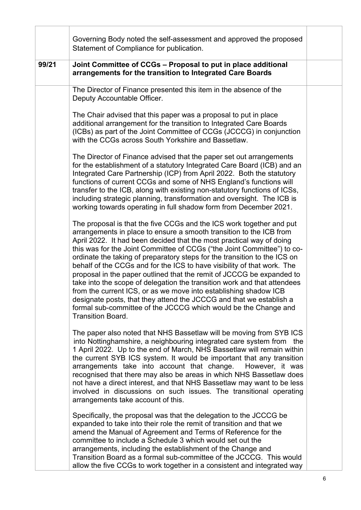|       | Governing Body noted the self-assessment and approved the proposed<br>Statement of Compliance for publication.                                                                                                                                                                                                                                                                                                                                                                                                                                                                                                                                                                                                                                                                                                                                        |  |
|-------|-------------------------------------------------------------------------------------------------------------------------------------------------------------------------------------------------------------------------------------------------------------------------------------------------------------------------------------------------------------------------------------------------------------------------------------------------------------------------------------------------------------------------------------------------------------------------------------------------------------------------------------------------------------------------------------------------------------------------------------------------------------------------------------------------------------------------------------------------------|--|
| 99/21 | Joint Committee of CCGs - Proposal to put in place additional<br>arrangements for the transition to Integrated Care Boards                                                                                                                                                                                                                                                                                                                                                                                                                                                                                                                                                                                                                                                                                                                            |  |
|       | The Director of Finance presented this item in the absence of the<br>Deputy Accountable Officer.                                                                                                                                                                                                                                                                                                                                                                                                                                                                                                                                                                                                                                                                                                                                                      |  |
|       | The Chair advised that this paper was a proposal to put in place<br>additional arrangement for the transition to Integrated Care Boards<br>(ICBs) as part of the Joint Committee of CCGs (JCCCG) in conjunction<br>with the CCGs across South Yorkshire and Bassetlaw.                                                                                                                                                                                                                                                                                                                                                                                                                                                                                                                                                                                |  |
|       | The Director of Finance advised that the paper set out arrangements<br>for the establishment of a statutory Integrated Care Board (ICB) and an<br>Integrated Care Partnership (ICP) from April 2022. Both the statutory<br>functions of current CCGs and some of NHS England's functions will<br>transfer to the ICB, along with existing non-statutory functions of ICSs,<br>including strategic planning, transformation and oversight. The ICB is<br>working towards operating in full shadow form from December 2021.                                                                                                                                                                                                                                                                                                                             |  |
|       | The proposal is that the five CCGs and the ICS work together and put<br>arrangements in place to ensure a smooth transition to the ICB from<br>April 2022. It had been decided that the most practical way of doing<br>this was for the Joint Committee of CCGs ("the Joint Committee") to co-<br>ordinate the taking of preparatory steps for the transition to the ICS on<br>behalf of the CCGs and for the ICS to have visibility of that work. The<br>proposal in the paper outlined that the remit of JCCCG be expanded to<br>take into the scope of delegation the transition work and that attendees<br>from the current ICS, or as we move into establishing shadow ICB<br>designate posts, that they attend the JCCCG and that we establish a<br>formal sub-committee of the JCCCG which would be the Change and<br><b>Transition Board.</b> |  |
|       | The paper also noted that NHS Bassetlaw will be moving from SYB ICS<br>into Nottinghamshire, a neighbouring integrated care system from the<br>1 April 2022. Up to the end of March, NHS Bassetlaw will remain within<br>the current SYB ICS system. It would be important that any transition<br>arrangements take into account that change.<br>However, it was<br>recognised that there may also be areas in which NHS Bassetlaw does<br>not have a direct interest, and that NHS Bassetlaw may want to be less<br>involved in discussions on such issues. The transitional operating<br>arrangements take account of this.                                                                                                                                                                                                                         |  |
|       | Specifically, the proposal was that the delegation to the JCCCG be<br>expanded to take into their role the remit of transition and that we<br>amend the Manual of Agreement and Terms of Reference for the<br>committee to include a Schedule 3 which would set out the<br>arrangements, including the establishment of the Change and<br>Transition Board as a formal sub-committee of the JCCCG. This would<br>allow the five CCGs to work together in a consistent and integrated way                                                                                                                                                                                                                                                                                                                                                              |  |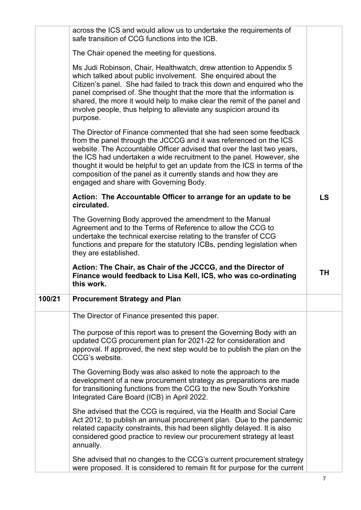|        | across the ICS and would allow us to undertake the requirements of<br>safe transition of CCG functions into the ICB.                                                                                                                                                                                                                                                                                                                                                                |           |
|--------|-------------------------------------------------------------------------------------------------------------------------------------------------------------------------------------------------------------------------------------------------------------------------------------------------------------------------------------------------------------------------------------------------------------------------------------------------------------------------------------|-----------|
|        | The Chair opened the meeting for questions.                                                                                                                                                                                                                                                                                                                                                                                                                                         |           |
|        | Ms Judi Robinson, Chair, Healthwatch, drew attention to Appendix 5<br>which talked about public involvement. She enquired about the<br>Citizen's panel. She had failed to track this down and enquired who the<br>panel comprised of. She thought that the more that the information is<br>shared, the more it would help to make clear the remit of the panel and<br>involve people, thus helping to alleviate any suspicion around its<br>purpose.                                |           |
|        | The Director of Finance commented that she had seen some feedback<br>from the panel through the JCCCG and it was referenced on the ICS<br>website. The Accountable Officer advised that over the last two years,<br>the ICS had undertaken a wide recruitment to the panel. However, she<br>thought it would be helpful to get an update from the ICS in terms of the<br>composition of the panel as it currently stands and how they are<br>engaged and share with Governing Body. |           |
|        | Action: The Accountable Officer to arrange for an update to be<br>circulated.                                                                                                                                                                                                                                                                                                                                                                                                       | <b>LS</b> |
|        | The Governing Body approved the amendment to the Manual<br>Agreement and to the Terms of Reference to allow the CCG to<br>undertake the technical exercise relating to the transfer of CCG<br>functions and prepare for the statutory ICBs, pending legislation when<br>they are established.                                                                                                                                                                                       |           |
|        | Action: The Chair, as Chair of the JCCCG, and the Director of<br>Finance would feedback to Lisa Kell, ICS, who was co-ordinating<br>this work.                                                                                                                                                                                                                                                                                                                                      | <b>TH</b> |
| 100/21 | <b>Procurement Strategy and Plan</b>                                                                                                                                                                                                                                                                                                                                                                                                                                                |           |
|        | The Director of Finance presented this paper.                                                                                                                                                                                                                                                                                                                                                                                                                                       |           |
|        | The purpose of this report was to present the Governing Body with an<br>updated CCG procurement plan for 2021-22 for consideration and<br>approval. If approved, the next step would be to publish the plan on the<br>CCG's website.                                                                                                                                                                                                                                                |           |
|        | The Governing Body was also asked to note the approach to the<br>development of a new procurement strategy as preparations are made<br>for transitioning functions from the CCG to the new South Yorkshire<br>Integrated Care Board (ICB) in April 2022.                                                                                                                                                                                                                            |           |
|        | She advised that the CCG is required, via the Health and Social Care<br>Act 2012, to publish an annual procurement plan. Due to the pandemic<br>related capacity constraints, this had been slightly delayed. It is also<br>considered good practice to review our procurement strategy at least<br>annually.                                                                                                                                                                       |           |
|        | She advised that no changes to the CCG's current procurement strategy<br>were proposed. It is considered to remain fit for purpose for the current                                                                                                                                                                                                                                                                                                                                  |           |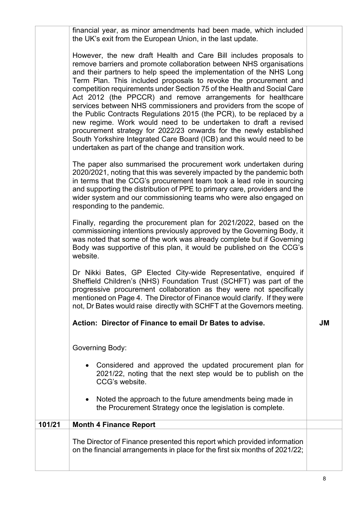|        | financial year, as minor amendments had been made, which included<br>the UK's exit from the European Union, in the last update.                                                                                                                                                                                                                                                                                                                                                                                                                                                                                                                                                                                                                                                                                                                        |    |
|--------|--------------------------------------------------------------------------------------------------------------------------------------------------------------------------------------------------------------------------------------------------------------------------------------------------------------------------------------------------------------------------------------------------------------------------------------------------------------------------------------------------------------------------------------------------------------------------------------------------------------------------------------------------------------------------------------------------------------------------------------------------------------------------------------------------------------------------------------------------------|----|
|        | However, the new draft Health and Care Bill includes proposals to<br>remove barriers and promote collaboration between NHS organisations<br>and their partners to help speed the implementation of the NHS Long<br>Term Plan. This included proposals to revoke the procurement and<br>competition requirements under Section 75 of the Health and Social Care<br>Act 2012 (the PPCCR) and remove arrangements for healthcare<br>services between NHS commissioners and providers from the scope of<br>the Public Contracts Regulations 2015 (the PCR), to be replaced by a<br>new regime. Work would need to be undertaken to draft a revised<br>procurement strategy for 2022/23 onwards for the newly established<br>South Yorkshire Integrated Care Board (ICB) and this would need to be<br>undertaken as part of the change and transition work. |    |
|        | The paper also summarised the procurement work undertaken during<br>2020/2021, noting that this was severely impacted by the pandemic both<br>in terms that the CCG's procurement team took a lead role in sourcing<br>and supporting the distribution of PPE to primary care, providers and the<br>wider system and our commissioning teams who were also engaged on<br>responding to the pandemic.                                                                                                                                                                                                                                                                                                                                                                                                                                                   |    |
|        | Finally, regarding the procurement plan for 2021/2022, based on the<br>commissioning intentions previously approved by the Governing Body, it<br>was noted that some of the work was already complete but if Governing<br>Body was supportive of this plan, it would be published on the CCG's<br>website.                                                                                                                                                                                                                                                                                                                                                                                                                                                                                                                                             |    |
|        | Dr Nikki Bates, GP Elected City-wide Representative, enquired if<br>Sheffield Children's (NHS) Foundation Trust (SCHFT) was part of the<br>progressive procurement collaboration as they were not specifically<br>mentioned on Page 4. The Director of Finance would clarify. If they were<br>not, Dr Bates would raise directly with SCHFT at the Governors meeting.                                                                                                                                                                                                                                                                                                                                                                                                                                                                                  |    |
|        | Action: Director of Finance to email Dr Bates to advise.                                                                                                                                                                                                                                                                                                                                                                                                                                                                                                                                                                                                                                                                                                                                                                                               | JM |
|        | Governing Body:                                                                                                                                                                                                                                                                                                                                                                                                                                                                                                                                                                                                                                                                                                                                                                                                                                        |    |
|        | Considered and approved the updated procurement plan for<br>$\bullet$<br>2021/22, noting that the next step would be to publish on the<br>CCG's website.                                                                                                                                                                                                                                                                                                                                                                                                                                                                                                                                                                                                                                                                                               |    |
|        | Noted the approach to the future amendments being made in<br>$\bullet$<br>the Procurement Strategy once the legislation is complete.                                                                                                                                                                                                                                                                                                                                                                                                                                                                                                                                                                                                                                                                                                                   |    |
| 101/21 | <b>Month 4 Finance Report</b>                                                                                                                                                                                                                                                                                                                                                                                                                                                                                                                                                                                                                                                                                                                                                                                                                          |    |
|        | The Director of Finance presented this report which provided information<br>on the financial arrangements in place for the first six months of 2021/22;                                                                                                                                                                                                                                                                                                                                                                                                                                                                                                                                                                                                                                                                                                |    |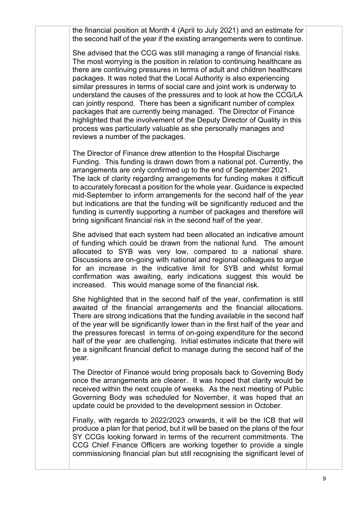the financial position at Month 4 (April to July 2021) and an estimate for the second half of the year if the existing arrangements were to continue.

She advised that the CCG was still managing a range of financial risks. The most worrying is the position in relation to continuing healthcare as there are continuing pressures in terms of adult and children healthcare packages. It was noted that the Local Authority is also experiencing similar pressures in terms of social care and joint work is underway to understand the causes of the pressures and to look at how the CCG/LA can jointly respond. There has been a significant number of complex packages that are currently being managed. The Director of Finance highlighted that the involvement of the Deputy Director of Quality in this process was particularly valuable as she personally manages and reviews a number of the packages.

The Director of Finance drew attention to the Hospital Discharge Funding. This funding is drawn down from a national pot. Currently, the arrangements are only confirmed up to the end of September 2021. The lack of clarity regarding arrangements for funding makes it difficult to accurately forecast a position for the whole year. Guidance is expected mid-September to inform arrangements for the second half of the year but indications are that the funding will be significantly reduced and the funding is currently supporting a number of packages and therefore will bring significant financial risk in the second half of the year.

She advised that each system had been allocated an indicative amount of funding which could be drawn from the national fund. The amount allocated to SYB was very low, compared to a national share. Discussions are on-going with national and regional colleagues to argue for an increase in the indicative limit for SYB and whilst formal confirmation was awaiting, early indications suggest this would be increased. This would manage some of the financial risk.

She highlighted that in the second half of the year, confirmation is still awaited of the financial arrangements and the financial allocations. There are strong indications that the funding available in the second half of the year will be significantly lower than in the first half of the year and the pressures forecast in terms of on-going expenditure for the second half of the year are challenging. Initial estimates indicate that there will be a significant financial deficit to manage during the second half of the year.

The Director of Finance would bring proposals back to Governing Body once the arrangements are clearer. It was hoped that clarity would be received within the next couple of weeks. As the next meeting of Public Governing Body was scheduled for November, it was hoped that an update could be provided to the development session in October.

Finally, with regards to 2022/2023 onwards, it will be the ICB that will produce a plan for that period, but it will be based on the plans of the four SY CCGs looking forward in terms of the recurrent commitments. The CCG Chief Finance Officers are working together to provide a single commissioning financial plan but still recognising the significant level of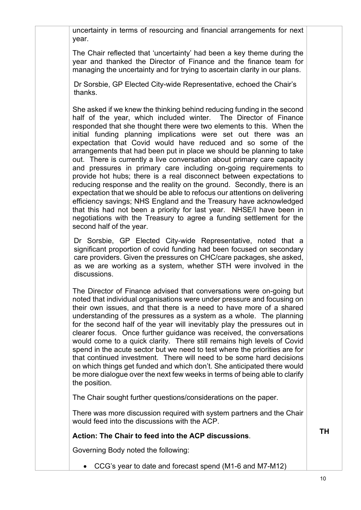uncertainty in terms of resourcing and financial arrangements for next year.

The Chair reflected that 'uncertainty' had been a key theme during the year and thanked the Director of Finance and the finance team for managing the uncertainty and for trying to ascertain clarity in our plans.

Dr Sorsbie, GP Elected City-wide Representative, echoed the Chair's thanks.

She asked if we knew the thinking behind reducing funding in the second half of the year, which included winter. The Director of Finance responded that she thought there were two elements to this. When the initial funding planning implications were set out there was an expectation that Covid would have reduced and so some of the arrangements that had been put in place we should be planning to take out. There is currently a live conversation about primary care capacity and pressures in primary care including on-going requirements to provide hot hubs; there is a real disconnect between expectations to reducing response and the reality on the ground. Secondly, there is an expectation that we should be able to refocus our attentions on delivering efficiency savings; NHS England and the Treasury have acknowledged that this had not been a priority for last year. NHSE/I have been in negotiations with the Treasury to agree a funding settlement for the second half of the year.

Dr Sorsbie, GP Elected City-wide Representative, noted that a significant proportion of covid funding had been focused on secondary care providers. Given the pressures on CHC/care packages, she asked, as we are working as a system, whether STH were involved in the discussions.

The Director of Finance advised that conversations were on-going but noted that individual organisations were under pressure and focusing on their own issues, and that there is a need to have more of a shared understanding of the pressures as a system as a whole. The planning for the second half of the year will inevitably play the pressures out in clearer focus. Once further guidance was received, the conversations would come to a quick clarity. There still remains high levels of Covid spend in the acute sector but we need to test where the priorities are for that continued investment. There will need to be some hard decisions on which things get funded and which don't. She anticipated there would be more dialogue over the next few weeks in terms of being able to clarify the position.

The Chair sought further questions/considerations on the paper.

There was more discussion required with system partners and the Chair would feed into the discussions with the ACP.

**Action: The Chair to feed into the ACP discussions**.

Governing Body noted the following:

• CCG's year to date and forecast spend (M1-6 and M7-M12)

**TH**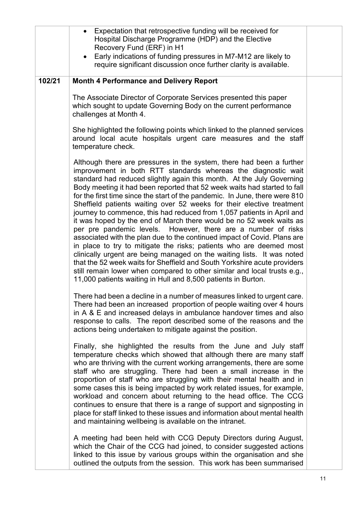|        | Expectation that retrospective funding will be received for<br>$\bullet$<br>Hospital Discharge Programme (HDP) and the Elective<br>Recovery Fund (ERF) in H1<br>Early indications of funding pressures in M7-M12 are likely to<br>$\bullet$<br>require significant discussion once further clarity is available.                                                                                                                                                                                                                                                                                                                                                                                                                                                                                                                                                                                                                                                                                                                                                                                                                                                                                                                                                                                                                                                                                                            |  |
|--------|-----------------------------------------------------------------------------------------------------------------------------------------------------------------------------------------------------------------------------------------------------------------------------------------------------------------------------------------------------------------------------------------------------------------------------------------------------------------------------------------------------------------------------------------------------------------------------------------------------------------------------------------------------------------------------------------------------------------------------------------------------------------------------------------------------------------------------------------------------------------------------------------------------------------------------------------------------------------------------------------------------------------------------------------------------------------------------------------------------------------------------------------------------------------------------------------------------------------------------------------------------------------------------------------------------------------------------------------------------------------------------------------------------------------------------|--|
| 102/21 | <b>Month 4 Performance and Delivery Report</b>                                                                                                                                                                                                                                                                                                                                                                                                                                                                                                                                                                                                                                                                                                                                                                                                                                                                                                                                                                                                                                                                                                                                                                                                                                                                                                                                                                              |  |
|        | The Associate Director of Corporate Services presented this paper<br>which sought to update Governing Body on the current performance<br>challenges at Month 4.                                                                                                                                                                                                                                                                                                                                                                                                                                                                                                                                                                                                                                                                                                                                                                                                                                                                                                                                                                                                                                                                                                                                                                                                                                                             |  |
|        | She highlighted the following points which linked to the planned services<br>around local acute hospitals urgent care measures and the staff<br>temperature check.                                                                                                                                                                                                                                                                                                                                                                                                                                                                                                                                                                                                                                                                                                                                                                                                                                                                                                                                                                                                                                                                                                                                                                                                                                                          |  |
|        | Although there are pressures in the system, there had been a further<br>improvement in both RTT standards whereas the diagnostic wait<br>standard had reduced slightly again this month. At the July Governing<br>Body meeting it had been reported that 52 week waits had started to fall<br>for the first time since the start of the pandemic. In June, there were 810<br>Sheffield patients waiting over 52 weeks for their elective treatment<br>journey to commence, this had reduced from 1,057 patients in April and<br>it was hoped by the end of March there would be no 52 week waits as<br>per pre pandemic levels. However, there are a number of risks<br>associated with the plan due to the continued impact of Covid. Plans are<br>in place to try to mitigate the risks; patients who are deemed most<br>clinically urgent are being managed on the waiting lists. It was noted<br>that the 52 week waits for Sheffield and South Yorkshire acute providers<br>still remain lower when compared to other similar and local trusts e.g.,<br>11,000 patients waiting in Hull and 8,500 patients in Burton.<br>There had been a decline in a number of measures linked to urgent care.<br>There had been an increased proportion of people waiting over 4 hours<br>in A & E and increased delays in ambulance handover times and also<br>response to calls. The report described some of the reasons and the |  |
|        | actions being undertaken to mitigate against the position.<br>Finally, she highlighted the results from the June and July staff                                                                                                                                                                                                                                                                                                                                                                                                                                                                                                                                                                                                                                                                                                                                                                                                                                                                                                                                                                                                                                                                                                                                                                                                                                                                                             |  |
|        | temperature checks which showed that although there are many staff<br>who are thriving with the current working arrangements, there are some<br>staff who are struggling. There had been a small increase in the<br>proportion of staff who are struggling with their mental health and in<br>some cases this is being impacted by work related issues, for example,<br>workload and concern about returning to the head office. The CCG<br>continues to ensure that there is a range of support and signposting in<br>place for staff linked to these issues and information about mental health<br>and maintaining wellbeing is available on the intranet.                                                                                                                                                                                                                                                                                                                                                                                                                                                                                                                                                                                                                                                                                                                                                                |  |
|        | A meeting had been held with CCG Deputy Directors during August,<br>which the Chair of the CCG had joined, to consider suggested actions<br>linked to this issue by various groups within the organisation and she<br>outlined the outputs from the session. This work has been summarised                                                                                                                                                                                                                                                                                                                                                                                                                                                                                                                                                                                                                                                                                                                                                                                                                                                                                                                                                                                                                                                                                                                                  |  |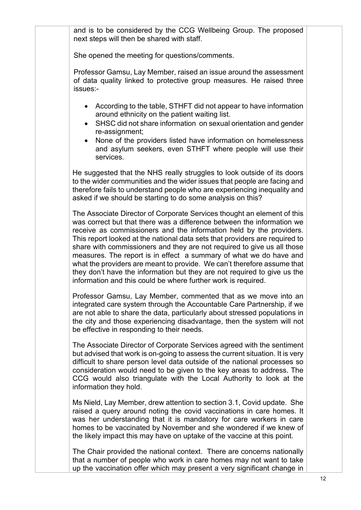and is to be considered by the CCG Wellbeing Group. The proposed next steps will then be shared with staff.

She opened the meeting for questions/comments.

Professor Gamsu, Lay Member, raised an issue around the assessment of data quality linked to protective group measures. He raised three issues:-

- According to the table, STHFT did not appear to have information around ethnicity on the patient waiting list.
- SHSC did not share information on sexual orientation and gender re-assignment;
- None of the providers listed have information on homelessness and asylum seekers, even STHFT where people will use their services.

He suggested that the NHS really struggles to look outside of its doors to the wider communities and the wider issues that people are facing and therefore fails to understand people who are experiencing inequality and asked if we should be starting to do some analysis on this?

The Associate Director of Corporate Services thought an element of this was correct but that there was a difference between the information we receive as commissioners and the information held by the providers. This report looked at the national data sets that providers are required to share with commissioners and they are not required to give us all those measures. The report is in effect a summary of what we do have and what the providers are meant to provide. We can't therefore assume that they don't have the information but they are not required to give us the information and this could be where further work is required.

Professor Gamsu, Lay Member, commented that as we move into an integrated care system through the Accountable Care Partnership, if we are not able to share the data, particularly about stressed populations in the city and those experiencing disadvantage, then the system will not be effective in responding to their needs.

The Associate Director of Corporate Services agreed with the sentiment but advised that work is on-going to assess the current situation. It is very difficult to share person level data outside of the national processes so consideration would need to be given to the key areas to address. The CCG would also triangulate with the Local Authority to look at the information they hold.

Ms Nield, Lay Member, drew attention to section 3.1, Covid update. She raised a query around noting the covid vaccinations in care homes. It was her understanding that it is mandatory for care workers in care homes to be vaccinated by November and she wondered if we knew of the likely impact this may have on uptake of the vaccine at this point.

The Chair provided the national context. There are concerns nationally that a number of people who work in care homes may not want to take up the vaccination offer which may present a very significant change in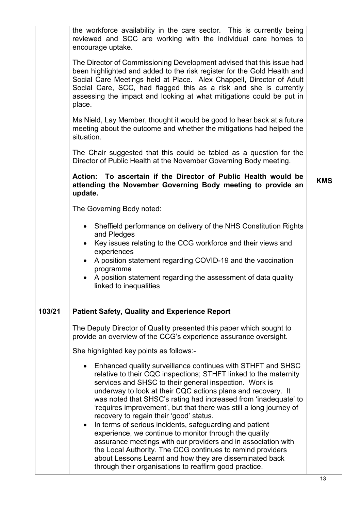| the workforce availability in the care sector. This is currently being<br>reviewed and SCC are working with the individual care homes to<br>encourage uptake.                                                                                                                                                                                                                                                                                                                                                                                                                                                                                                                                                                                                                                                                       |                                                                       |
|-------------------------------------------------------------------------------------------------------------------------------------------------------------------------------------------------------------------------------------------------------------------------------------------------------------------------------------------------------------------------------------------------------------------------------------------------------------------------------------------------------------------------------------------------------------------------------------------------------------------------------------------------------------------------------------------------------------------------------------------------------------------------------------------------------------------------------------|-----------------------------------------------------------------------|
| been highlighted and added to the risk register for the Gold Health and<br>Social Care Meetings held at Place. Alex Chappell, Director of Adult<br>Social Care, SCC, had flagged this as a risk and she is currently<br>assessing the impact and looking at what mitigations could be put in<br>place.                                                                                                                                                                                                                                                                                                                                                                                                                                                                                                                              |                                                                       |
| Ms Nield, Lay Member, thought it would be good to hear back at a future<br>meeting about the outcome and whether the mitigations had helped the<br>situation.                                                                                                                                                                                                                                                                                                                                                                                                                                                                                                                                                                                                                                                                       |                                                                       |
| The Chair suggested that this could be tabled as a question for the<br>Director of Public Health at the November Governing Body meeting.                                                                                                                                                                                                                                                                                                                                                                                                                                                                                                                                                                                                                                                                                            |                                                                       |
| Action: To ascertain if the Director of Public Health would be<br>attending the November Governing Body meeting to provide an<br>update.                                                                                                                                                                                                                                                                                                                                                                                                                                                                                                                                                                                                                                                                                            | <b>KMS</b>                                                            |
| The Governing Body noted:                                                                                                                                                                                                                                                                                                                                                                                                                                                                                                                                                                                                                                                                                                                                                                                                           |                                                                       |
| • Sheffield performance on delivery of the NHS Constitution Rights<br>and Pledges                                                                                                                                                                                                                                                                                                                                                                                                                                                                                                                                                                                                                                                                                                                                                   |                                                                       |
| Key issues relating to the CCG workforce and their views and<br>experiences                                                                                                                                                                                                                                                                                                                                                                                                                                                                                                                                                                                                                                                                                                                                                         |                                                                       |
| A position statement regarding COVID-19 and the vaccination<br>$\bullet$<br>programme                                                                                                                                                                                                                                                                                                                                                                                                                                                                                                                                                                                                                                                                                                                                               |                                                                       |
| A position statement regarding the assessment of data quality<br>linked to inequalities                                                                                                                                                                                                                                                                                                                                                                                                                                                                                                                                                                                                                                                                                                                                             |                                                                       |
| <b>Patient Safety, Quality and Experience Report</b>                                                                                                                                                                                                                                                                                                                                                                                                                                                                                                                                                                                                                                                                                                                                                                                |                                                                       |
| The Deputy Director of Quality presented this paper which sought to<br>provide an overview of the CCG's experience assurance oversight.                                                                                                                                                                                                                                                                                                                                                                                                                                                                                                                                                                                                                                                                                             |                                                                       |
| She highlighted key points as follows:-                                                                                                                                                                                                                                                                                                                                                                                                                                                                                                                                                                                                                                                                                                                                                                                             |                                                                       |
| Enhanced quality surveillance continues with STHFT and SHSC<br>relative to their CQC inspections; STHFT linked to the maternity<br>services and SHSC to their general inspection. Work is<br>underway to look at their CQC actions plans and recovery. It<br>was noted that SHSC's rating had increased from 'inadequate' to<br>'requires improvement', but that there was still a long journey of<br>recovery to regain their 'good' status.<br>In terms of serious incidents, safeguarding and patient<br>$\bullet$<br>experience, we continue to monitor through the quality<br>assurance meetings with our providers and in association with<br>the Local Authority. The CCG continues to remind providers<br>about Lessons Learnt and how they are disseminated back<br>through their organisations to reaffirm good practice. |                                                                       |
|                                                                                                                                                                                                                                                                                                                                                                                                                                                                                                                                                                                                                                                                                                                                                                                                                                     | The Director of Commissioning Development advised that this issue had |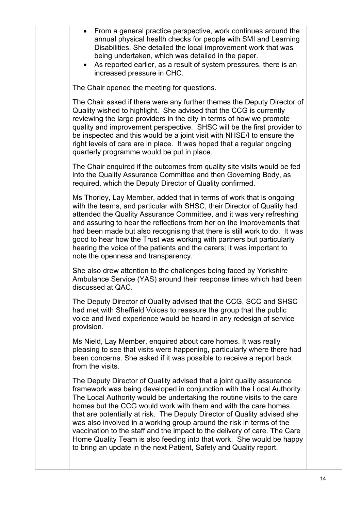| • From a general practice perspective, work continues around the<br>annual physical health checks for people with SMI and Learning<br>Disabilities. She detailed the local improvement work that was<br>being undertaken, which was detailed in the paper.<br>• As reported earlier, as a result of system pressures, there is an<br>increased pressure in CHC.                                                                                                                                                                                                                                                                                                             |  |
|-----------------------------------------------------------------------------------------------------------------------------------------------------------------------------------------------------------------------------------------------------------------------------------------------------------------------------------------------------------------------------------------------------------------------------------------------------------------------------------------------------------------------------------------------------------------------------------------------------------------------------------------------------------------------------|--|
| The Chair opened the meeting for questions.                                                                                                                                                                                                                                                                                                                                                                                                                                                                                                                                                                                                                                 |  |
| The Chair asked if there were any further themes the Deputy Director of<br>Quality wished to highlight. She advised that the CCG is currently<br>reviewing the large providers in the city in terms of how we promote<br>quality and improvement perspective. SHSC will be the first provider to<br>be inspected and this would be a joint visit with NHSE/I to ensure the<br>right levels of care are in place. It was hoped that a regular ongoing<br>quarterly programme would be put in place.                                                                                                                                                                          |  |
| The Chair enquired if the outcomes from quality site visits would be fed<br>into the Quality Assurance Committee and then Governing Body, as<br>required, which the Deputy Director of Quality confirmed.                                                                                                                                                                                                                                                                                                                                                                                                                                                                   |  |
| Ms Thorley, Lay Member, added that in terms of work that is ongoing<br>with the teams, and particular with SHSC, their Director of Quality had<br>attended the Quality Assurance Committee, and it was very refreshing<br>and assuring to hear the reflections from her on the improvements that<br>had been made but also recognising that there is still work to do. It was<br>good to hear how the Trust was working with partners but particularly<br>hearing the voice of the patients and the carers; it was important to<br>note the openness and transparency.                                                                                                      |  |
| She also drew attention to the challenges being faced by Yorkshire<br>Ambulance Service (YAS) around their response times which had been<br>discussed at QAC.                                                                                                                                                                                                                                                                                                                                                                                                                                                                                                               |  |
| The Deputy Director of Quality advised that the CCG, SCC and SHSC<br>had met with Sheffield Voices to reassure the group that the public<br>voice and lived experience would be heard in any redesign of service<br>provision.                                                                                                                                                                                                                                                                                                                                                                                                                                              |  |
| Ms Nield, Lay Member, enquired about care homes. It was really<br>pleasing to see that visits were happening, particularly where there had<br>been concerns. She asked if it was possible to receive a report back<br>from the visits.                                                                                                                                                                                                                                                                                                                                                                                                                                      |  |
| The Deputy Director of Quality advised that a joint quality assurance<br>framework was being developed in conjunction with the Local Authority.<br>The Local Authority would be undertaking the routine visits to the care<br>homes but the CCG would work with them and with the care homes<br>that are potentially at risk. The Deputy Director of Quality advised she<br>was also involved in a working group around the risk in terms of the<br>vaccination to the staff and the impact to the delivery of care. The Care<br>Home Quality Team is also feeding into that work. She would be happy<br>to bring an update in the next Patient, Safety and Quality report. |  |
|                                                                                                                                                                                                                                                                                                                                                                                                                                                                                                                                                                                                                                                                             |  |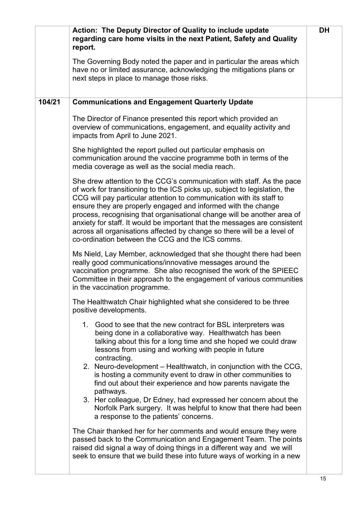|        | Action: The Deputy Director of Quality to include update<br>regarding care home visits in the next Patient, Safety and Quality<br>report.<br>The Governing Body noted the paper and in particular the areas which<br>have no or limited assurance, acknowledging the mitigations plans or                                                                                                                                                                                                                                                                                           | <b>DH</b> |
|--------|-------------------------------------------------------------------------------------------------------------------------------------------------------------------------------------------------------------------------------------------------------------------------------------------------------------------------------------------------------------------------------------------------------------------------------------------------------------------------------------------------------------------------------------------------------------------------------------|-----------|
|        | next steps in place to manage those risks.                                                                                                                                                                                                                                                                                                                                                                                                                                                                                                                                          |           |
| 104/21 | <b>Communications and Engagement Quarterly Update</b>                                                                                                                                                                                                                                                                                                                                                                                                                                                                                                                               |           |
|        | The Director of Finance presented this report which provided an<br>overview of communications, engagement, and equality activity and<br>impacts from April to June 2021.                                                                                                                                                                                                                                                                                                                                                                                                            |           |
|        | She highlighted the report pulled out particular emphasis on<br>communication around the vaccine programme both in terms of the<br>media coverage as well as the social media reach.                                                                                                                                                                                                                                                                                                                                                                                                |           |
|        | She drew attention to the CCG's communication with staff. As the pace<br>of work for transitioning to the ICS picks up, subject to legislation, the<br>CCG will pay particular attention to communication with its staff to<br>ensure they are properly engaged and informed with the change<br>process, recognising that organisational change will be another area of<br>anxiety for staff. It would be important that the messages are consistent<br>across all organisations affected by change so there will be a level of<br>co-ordination between the CCG and the ICS comms. |           |
|        | Ms Nield, Lay Member, acknowledged that she thought there had been<br>really good communications/innovative messages around the<br>vaccination programme. She also recognised the work of the SPIEEC<br>Committee in their approach to the engagement of various communities<br>in the vaccination programme.                                                                                                                                                                                                                                                                       |           |
|        | The Healthwatch Chair highlighted what she considered to be three<br>positive developments.                                                                                                                                                                                                                                                                                                                                                                                                                                                                                         |           |
|        | 1. Good to see that the new contract for BSL interpreters was<br>being done in a collaborative way. Healthwatch has been<br>talking about this for a long time and she hoped we could draw<br>lessons from using and working with people in future<br>contracting.                                                                                                                                                                                                                                                                                                                  |           |
|        | 2. Neuro-development – Healthwatch, in conjunction with the CCG,<br>is hosting a community event to draw in other communities to<br>find out about their experience and how parents navigate the<br>pathways.<br>3. Her colleague, Dr Edney, had expressed her concern about the                                                                                                                                                                                                                                                                                                    |           |
|        | Norfolk Park surgery. It was helpful to know that there had been<br>a response to the patients' concerns.                                                                                                                                                                                                                                                                                                                                                                                                                                                                           |           |
|        | The Chair thanked her for her comments and would ensure they were<br>passed back to the Communication and Engagement Team. The points<br>raised did signal a way of doing things in a different way and we will<br>seek to ensure that we build these into future ways of working in a new                                                                                                                                                                                                                                                                                          |           |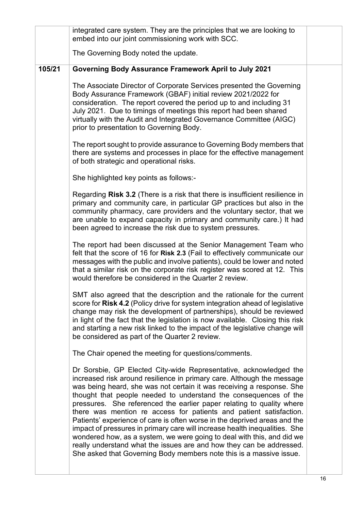|        | integrated care system. They are the principles that we are looking to<br>embed into our joint commissioning work with SCC.                                                                                                                                                                                                                                                                                                                                                                                                                                                                                                                                                                                                                                                                                                 |    |
|--------|-----------------------------------------------------------------------------------------------------------------------------------------------------------------------------------------------------------------------------------------------------------------------------------------------------------------------------------------------------------------------------------------------------------------------------------------------------------------------------------------------------------------------------------------------------------------------------------------------------------------------------------------------------------------------------------------------------------------------------------------------------------------------------------------------------------------------------|----|
|        | The Governing Body noted the update.                                                                                                                                                                                                                                                                                                                                                                                                                                                                                                                                                                                                                                                                                                                                                                                        |    |
| 105/21 | Governing Body Assurance Framework April to July 2021                                                                                                                                                                                                                                                                                                                                                                                                                                                                                                                                                                                                                                                                                                                                                                       |    |
|        | The Associate Director of Corporate Services presented the Governing<br>Body Assurance Framework (GBAF) initial review 2021/2022 for<br>consideration. The report covered the period up to and including 31<br>July 2021. Due to timings of meetings this report had been shared<br>virtually with the Audit and Integrated Governance Committee (AIGC)<br>prior to presentation to Governing Body.                                                                                                                                                                                                                                                                                                                                                                                                                         |    |
|        | The report sought to provide assurance to Governing Body members that<br>there are systems and processes in place for the effective management<br>of both strategic and operational risks.                                                                                                                                                                                                                                                                                                                                                                                                                                                                                                                                                                                                                                  |    |
|        | She highlighted key points as follows:-                                                                                                                                                                                                                                                                                                                                                                                                                                                                                                                                                                                                                                                                                                                                                                                     |    |
|        | Regarding Risk 3.2 (There is a risk that there is insufficient resilience in<br>primary and community care, in particular GP practices but also in the<br>community pharmacy, care providers and the voluntary sector, that we<br>are unable to expand capacity in primary and community care.) It had<br>been agreed to increase the risk due to system pressures.                                                                                                                                                                                                                                                                                                                                                                                                                                                         |    |
|        | The report had been discussed at the Senior Management Team who<br>felt that the score of 16 for Risk 2.3 (Fail to effectively communicate our<br>messages with the public and involve patients), could be lower and noted<br>that a similar risk on the corporate risk register was scored at 12. This<br>would therefore be considered in the Quarter 2 review.                                                                                                                                                                                                                                                                                                                                                                                                                                                           |    |
|        | SMT also agreed that the description and the rationale for the current<br>score for Risk 4.2 (Policy drive for system integration ahead of legislative<br>change may risk the development of partnerships), should be reviewed<br>in light of the fact that the legislation is now available. Closing this risk<br>and starting a new risk linked to the impact of the legislative change will<br>be considered as part of the Quarter 2 review.                                                                                                                                                                                                                                                                                                                                                                            |    |
|        | The Chair opened the meeting for questions/comments.                                                                                                                                                                                                                                                                                                                                                                                                                                                                                                                                                                                                                                                                                                                                                                        |    |
|        | Dr Sorsbie, GP Elected City-wide Representative, acknowledged the<br>increased risk around resilience in primary care. Although the message<br>was being heard, she was not certain it was receiving a response. She<br>thought that people needed to understand the consequences of the<br>pressures. She referenced the earlier paper relating to quality where<br>there was mention re access for patients and patient satisfaction.<br>Patients' experience of care is often worse in the deprived areas and the<br>impact of pressures in primary care will increase health inequalities. She<br>wondered how, as a system, we were going to deal with this, and did we<br>really understand what the issues are and how they can be addressed.<br>She asked that Governing Body members note this is a massive issue. |    |
|        |                                                                                                                                                                                                                                                                                                                                                                                                                                                                                                                                                                                                                                                                                                                                                                                                                             | 16 |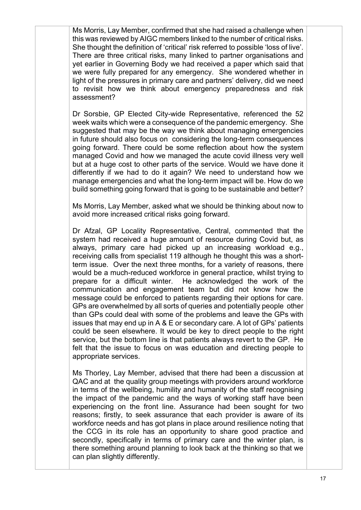Ms Morris, Lay Member, confirmed that she had raised a challenge when this was reviewed by AIGC members linked to the number of critical risks. She thought the definition of 'critical' risk referred to possible 'loss of live'. There are three critical risks, many linked to partner organisations and yet earlier in Governing Body we had received a paper which said that we were fully prepared for any emergency. She wondered whether in light of the pressures in primary care and partners' delivery, did we need to revisit how we think about emergency preparedness and risk assessment?

Dr Sorsbie, GP Elected City-wide Representative, referenced the 52 week waits which were a consequence of the pandemic emergency. She suggested that may be the way we think about managing emergencies in future should also focus on considering the long-term consequences going forward. There could be some reflection about how the system managed Covid and how we managed the acute covid illness very well but at a huge cost to other parts of the service. Would we have done it differently if we had to do it again? We need to understand how we manage emergencies and what the long-term impact will be. How do we build something going forward that is going to be sustainable and better?

Ms Morris, Lay Member, asked what we should be thinking about now to avoid more increased critical risks going forward.

Dr Afzal, GP Locality Representative, Central, commented that the system had received a huge amount of resource during Covid but, as always, primary care had picked up an increasing workload e.g., receiving calls from specialist 119 although he thought this was a shortterm issue. Over the next three months, for a variety of reasons, there would be a much-reduced workforce in general practice, whilst trying to prepare for a difficult winter. He acknowledged the work of the communication and engagement team but did not know how the message could be enforced to patients regarding their options for care. GPs are overwhelmed by all sorts of queries and potentially people other than GPs could deal with some of the problems and leave the GPs with issues that may end up in A & E or secondary care. A lot of GPs' patients could be seen elsewhere. It would be key to direct people to the right service, but the bottom line is that patients always revert to the GP. He felt that the issue to focus on was education and directing people to appropriate services.

Ms Thorley, Lay Member, advised that there had been a discussion at QAC and at the quality group meetings with providers around workforce in terms of the wellbeing, humility and humanity of the staff recognising the impact of the pandemic and the ways of working staff have been experiencing on the front line. Assurance had been sought for two reasons; firstly, to seek assurance that each provider is aware of its workforce needs and has got plans in place around resilience noting that the CCG in its role has an opportunity to share good practice and secondly, specifically in terms of primary care and the winter plan, is there something around planning to look back at the thinking so that we can plan slightly differently.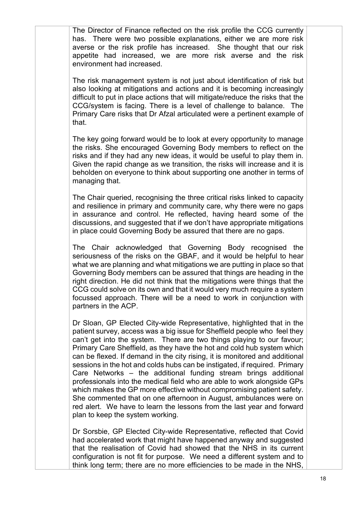The Director of Finance reflected on the risk profile the CCG currently has. There were two possible explanations, either we are more risk averse or the risk profile has increased. She thought that our risk appetite had increased, we are more risk averse and the risk environment had increased.

The risk management system is not just about identification of risk but also looking at mitigations and actions and it is becoming increasingly difficult to put in place actions that will mitigate/reduce the risks that the CCG/system is facing. There is a level of challenge to balance. The Primary Care risks that Dr Afzal articulated were a pertinent example of that.

The key going forward would be to look at every opportunity to manage the risks. She encouraged Governing Body members to reflect on the risks and if they had any new ideas, it would be useful to play them in. Given the rapid change as we transition, the risks will increase and it is beholden on everyone to think about supporting one another in terms of managing that.

The Chair queried, recognising the three critical risks linked to capacity and resilience in primary and community care, why there were no gaps in assurance and control. He reflected, having heard some of the discussions, and suggested that if we don't have appropriate mitigations in place could Governing Body be assured that there are no gaps.

The Chair acknowledged that Governing Body recognised the seriousness of the risks on the GBAF, and it would be helpful to hear what we are planning and what mitigations we are putting in place so that Governing Body members can be assured that things are heading in the right direction. He did not think that the mitigations were things that the CCG could solve on its own and that it would very much require a system focussed approach. There will be a need to work in conjunction with partners in the ACP.

Dr Sloan, GP Elected City-wide Representative, highlighted that in the patient survey, access was a big issue for Sheffield people who feel they can't get into the system. There are two things playing to our favour; Primary Care Sheffield, as they have the hot and cold hub system which can be flexed. If demand in the city rising, it is monitored and additional sessions in the hot and colds hubs can be instigated, if required. Primary Care Networks – the additional funding stream brings additional professionals into the medical field who are able to work alongside GPs which makes the GP more effective without compromising patient safety. She commented that on one afternoon in August, ambulances were on red alert. We have to learn the lessons from the last year and forward plan to keep the system working.

Dr Sorsbie, GP Elected City-wide Representative, reflected that Covid had accelerated work that might have happened anyway and suggested that the realisation of Covid had showed that the NHS in its current configuration is not fit for purpose. We need a different system and to think long term; there are no more efficiencies to be made in the NHS,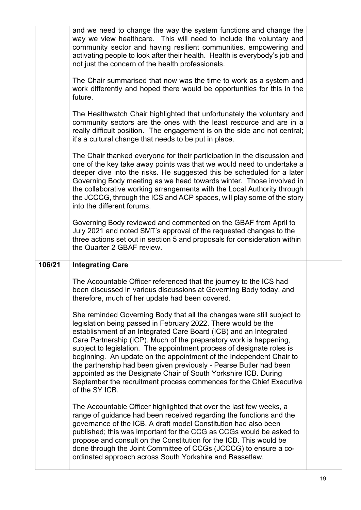|        | and we need to change the way the system functions and change the<br>way we view healthcare. This will need to include the voluntary and<br>community sector and having resilient communities, empowering and<br>activating people to look after their health. Health is everybody's job and<br>not just the concern of the health professionals.                                                                                                                                                                                                                                                                                                                                                                                                                                                                                                 |  |
|--------|---------------------------------------------------------------------------------------------------------------------------------------------------------------------------------------------------------------------------------------------------------------------------------------------------------------------------------------------------------------------------------------------------------------------------------------------------------------------------------------------------------------------------------------------------------------------------------------------------------------------------------------------------------------------------------------------------------------------------------------------------------------------------------------------------------------------------------------------------|--|
|        | The Chair summarised that now was the time to work as a system and<br>work differently and hoped there would be opportunities for this in the<br>future.                                                                                                                                                                                                                                                                                                                                                                                                                                                                                                                                                                                                                                                                                          |  |
|        | The Healthwatch Chair highlighted that unfortunately the voluntary and<br>community sectors are the ones with the least resource and are in a<br>really difficult position. The engagement is on the side and not central;<br>it's a cultural change that needs to be put in place.                                                                                                                                                                                                                                                                                                                                                                                                                                                                                                                                                               |  |
|        | The Chair thanked everyone for their participation in the discussion and<br>one of the key take away points was that we would need to undertake a<br>deeper dive into the risks. He suggested this be scheduled for a later<br>Governing Body meeting as we head towards winter. Those involved in<br>the collaborative working arrangements with the Local Authority through<br>the JCCCG, through the ICS and ACP spaces, will play some of the story<br>into the different forums.                                                                                                                                                                                                                                                                                                                                                             |  |
|        | Governing Body reviewed and commented on the GBAF from April to<br>July 2021 and noted SMT's approval of the requested changes to the<br>three actions set out in section 5 and proposals for consideration within<br>the Quarter 2 GBAF review.                                                                                                                                                                                                                                                                                                                                                                                                                                                                                                                                                                                                  |  |
| 106/21 | <b>Integrating Care</b>                                                                                                                                                                                                                                                                                                                                                                                                                                                                                                                                                                                                                                                                                                                                                                                                                           |  |
|        | The Accountable Officer referenced that the journey to the ICS had<br>been discussed in various discussions at Governing Body today, and<br>therefore, much of her update had been covered.<br>She reminded Governing Body that all the changes were still subject to<br>legislation being passed in February 2022. There would be the<br>establishment of an Integrated Care Board (ICB) and an Integrated<br>Care Partnership (ICP). Much of the preparatory work is happening,<br>subject to legislation. The appointment process of designate roles is<br>beginning. An update on the appointment of the Independent Chair to<br>the partnership had been given previously - Pearse Butler had been<br>appointed as the Designate Chair of South Yorkshire ICB. During<br>September the recruitment process commences for the Chief Executive |  |
|        | of the SY ICB.                                                                                                                                                                                                                                                                                                                                                                                                                                                                                                                                                                                                                                                                                                                                                                                                                                    |  |
|        | The Accountable Officer highlighted that over the last few weeks, a<br>range of guidance had been received regarding the functions and the<br>governance of the ICB. A draft model Constitution had also been<br>published; this was important for the CCG as CCGs would be asked to<br>propose and consult on the Constitution for the ICB. This would be<br>done through the Joint Committee of CCGs (JCCCG) to ensure a co-<br>ordinated approach across South Yorkshire and Bassetlaw.                                                                                                                                                                                                                                                                                                                                                        |  |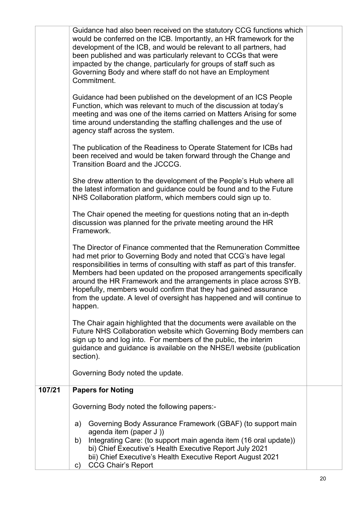| impacted by the change, particularly for groups of staff such as<br>Governing Body and where staff do not have an Employment<br>Commitment.<br>Guidance had been published on the development of an ICS People<br>Function, which was relevant to much of the discussion at today's<br>meeting and was one of the items carried on Matters Arising for some<br>time around understanding the staffing challenges and the use of<br>agency staff across the system.<br>The publication of the Readiness to Operate Statement for ICBs had<br>been received and would be taken forward through the Change and<br>Transition Board and the JCCCG.<br>She drew attention to the development of the People's Hub where all<br>the latest information and guidance could be found and to the Future<br>NHS Collaboration platform, which members could sign up to.<br>The Chair opened the meeting for questions noting that an in-depth<br>discussion was planned for the private meeting around the HR<br>Framework.<br>The Director of Finance commented that the Remuneration Committee<br>had met prior to Governing Body and noted that CCG's have legal<br>responsibilities in terms of consulting with staff as part of this transfer.<br>Members had been updated on the proposed arrangements specifically<br>around the HR Framework and the arrangements in place across SYB.<br>Hopefully, members would confirm that they had gained assurance<br>from the update. A level of oversight has happened and will continue to | The Chair again highlighted that the documents were available on the<br>Future NHS Collaboration website which Governing Body members can<br>sign up to and log into. For members of the public, the interim |  |
|-----------------------------------------------------------------------------------------------------------------------------------------------------------------------------------------------------------------------------------------------------------------------------------------------------------------------------------------------------------------------------------------------------------------------------------------------------------------------------------------------------------------------------------------------------------------------------------------------------------------------------------------------------------------------------------------------------------------------------------------------------------------------------------------------------------------------------------------------------------------------------------------------------------------------------------------------------------------------------------------------------------------------------------------------------------------------------------------------------------------------------------------------------------------------------------------------------------------------------------------------------------------------------------------------------------------------------------------------------------------------------------------------------------------------------------------------------------------------------------------------------------------------------------|--------------------------------------------------------------------------------------------------------------------------------------------------------------------------------------------------------------|--|
|                                                                                                                                                                                                                                                                                                                                                                                                                                                                                                                                                                                                                                                                                                                                                                                                                                                                                                                                                                                                                                                                                                                                                                                                                                                                                                                                                                                                                                                                                                                                   | happen.                                                                                                                                                                                                      |  |
|                                                                                                                                                                                                                                                                                                                                                                                                                                                                                                                                                                                                                                                                                                                                                                                                                                                                                                                                                                                                                                                                                                                                                                                                                                                                                                                                                                                                                                                                                                                                   |                                                                                                                                                                                                              |  |
|                                                                                                                                                                                                                                                                                                                                                                                                                                                                                                                                                                                                                                                                                                                                                                                                                                                                                                                                                                                                                                                                                                                                                                                                                                                                                                                                                                                                                                                                                                                                   |                                                                                                                                                                                                              |  |
|                                                                                                                                                                                                                                                                                                                                                                                                                                                                                                                                                                                                                                                                                                                                                                                                                                                                                                                                                                                                                                                                                                                                                                                                                                                                                                                                                                                                                                                                                                                                   |                                                                                                                                                                                                              |  |
|                                                                                                                                                                                                                                                                                                                                                                                                                                                                                                                                                                                                                                                                                                                                                                                                                                                                                                                                                                                                                                                                                                                                                                                                                                                                                                                                                                                                                                                                                                                                   |                                                                                                                                                                                                              |  |
|                                                                                                                                                                                                                                                                                                                                                                                                                                                                                                                                                                                                                                                                                                                                                                                                                                                                                                                                                                                                                                                                                                                                                                                                                                                                                                                                                                                                                                                                                                                                   |                                                                                                                                                                                                              |  |
| Guidance had also been received on the statutory CCG functions which<br>would be conferred on the ICB. Importantly, an HR framework for the<br>development of the ICB, and would be relevant to all partners, had                                                                                                                                                                                                                                                                                                                                                                                                                                                                                                                                                                                                                                                                                                                                                                                                                                                                                                                                                                                                                                                                                                                                                                                                                                                                                                                 | been published and was particularly relevant to CCGs that were                                                                                                                                               |  |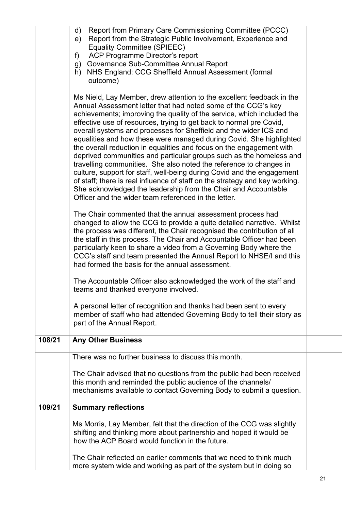|        | Report from Primary Care Commissioning Committee (PCCC)<br>d)<br>Report from the Strategic Public Involvement, Experience and<br>e)<br><b>Equality Committee (SPIEEC)</b><br>ACP Programme Director's report<br>f)<br>g) Governance Sub-Committee Annual Report<br>NHS England: CCG Sheffield Annual Assessment (formal<br>h)<br>outcome)                                                                                                                                                                                                                                                                                                                                                                                                                                                                                                                                                                                                   |  |
|--------|---------------------------------------------------------------------------------------------------------------------------------------------------------------------------------------------------------------------------------------------------------------------------------------------------------------------------------------------------------------------------------------------------------------------------------------------------------------------------------------------------------------------------------------------------------------------------------------------------------------------------------------------------------------------------------------------------------------------------------------------------------------------------------------------------------------------------------------------------------------------------------------------------------------------------------------------|--|
|        | Ms Nield, Lay Member, drew attention to the excellent feedback in the<br>Annual Assessment letter that had noted some of the CCG's key<br>achievements; improving the quality of the service, which included the<br>effective use of resources, trying to get back to normal pre Covid,<br>overall systems and processes for Sheffield and the wider ICS and<br>equalities and how these were managed during Covid. She highlighted<br>the overall reduction in equalities and focus on the engagement with<br>deprived communities and particular groups such as the homeless and<br>travelling communities. She also noted the reference to changes in<br>culture, support for staff, well-being during Covid and the engagement<br>of staff; there is real influence of staff on the strategy and key working.<br>She acknowledged the leadership from the Chair and Accountable<br>Officer and the wider team referenced in the letter. |  |
|        | The Chair commented that the annual assessment process had<br>changed to allow the CCG to provide a quite detailed narrative. Whilst<br>the process was different, the Chair recognised the contribution of all<br>the staff in this process. The Chair and Accountable Officer had been<br>particularly keen to share a video from a Governing Body where the<br>CCG's staff and team presented the Annual Report to NHSE/I and this<br>had formed the basis for the annual assessment.                                                                                                                                                                                                                                                                                                                                                                                                                                                    |  |
|        | The Accountable Officer also acknowledged the work of the staff and<br>teams and thanked everyone involved.                                                                                                                                                                                                                                                                                                                                                                                                                                                                                                                                                                                                                                                                                                                                                                                                                                 |  |
|        | A personal letter of recognition and thanks had been sent to every<br>member of staff who had attended Governing Body to tell their story as<br>part of the Annual Report.                                                                                                                                                                                                                                                                                                                                                                                                                                                                                                                                                                                                                                                                                                                                                                  |  |
| 108/21 | <b>Any Other Business</b>                                                                                                                                                                                                                                                                                                                                                                                                                                                                                                                                                                                                                                                                                                                                                                                                                                                                                                                   |  |
|        | There was no further business to discuss this month.                                                                                                                                                                                                                                                                                                                                                                                                                                                                                                                                                                                                                                                                                                                                                                                                                                                                                        |  |
|        | The Chair advised that no questions from the public had been received<br>this month and reminded the public audience of the channels/<br>mechanisms available to contact Governing Body to submit a question.                                                                                                                                                                                                                                                                                                                                                                                                                                                                                                                                                                                                                                                                                                                               |  |
| 109/21 | <b>Summary reflections</b>                                                                                                                                                                                                                                                                                                                                                                                                                                                                                                                                                                                                                                                                                                                                                                                                                                                                                                                  |  |
|        | Ms Morris, Lay Member, felt that the direction of the CCG was slightly<br>shifting and thinking more about partnership and hoped it would be<br>how the ACP Board would function in the future.                                                                                                                                                                                                                                                                                                                                                                                                                                                                                                                                                                                                                                                                                                                                             |  |
|        | The Chair reflected on earlier comments that we need to think much<br>more system wide and working as part of the system but in doing so                                                                                                                                                                                                                                                                                                                                                                                                                                                                                                                                                                                                                                                                                                                                                                                                    |  |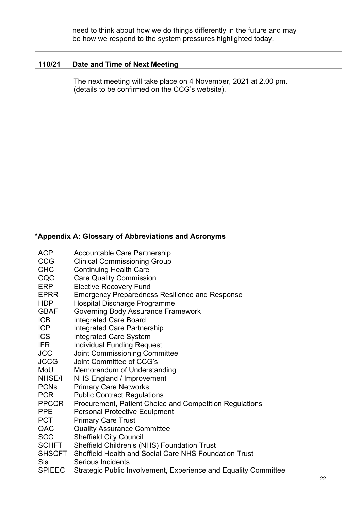|        | need to think about how we do things differently in the future and may<br>be how we respond to the system pressures highlighted today. |  |
|--------|----------------------------------------------------------------------------------------------------------------------------------------|--|
| 110/21 | Date and Time of Next Meeting                                                                                                          |  |
|        | The next meeting will take place on 4 November, 2021 at 2.00 pm.<br>(details to be confirmed on the CCG's website).                    |  |

## \***Appendix A: Glossary of Abbreviations and Acronyms**

ACP Accountable Care Partnership **CCG** CHC Clinical Commissioning Group Continuing Health Care CQC ERP EPRR HDP GBAF ICB ICP Care Quality Commission Elective Recovery Fund Emergency Preparedness Resilience and Response Hospital Discharge Programme Governing Body Assurance Framework Integrated Care Board Integrated Care Partnership ICS IFR Integrated Care System Individual Funding Request JCC JCCG Joint Commissioning Committee Joint Committee of CCG's MoU Memorandum of Understanding NHSE/I NHS England / Improvement PCNs PCR PPCCR PPE Primary Care Networks Public Contract Regulations Procurement, Patient Choice and Competition Regulations Personal Protective Equipment PCT Primary Care Trust QAC Quality Assurance Committee SCC Sheffield City Council SCHFT Sheffield Children's (NHS) Foundation Trust SHSCFT Sheffield Health and Social Care NHS Foundation Trust Sis SPIEEC Serious Incidents Strategic Public Involvement, Experience and Equality Committee